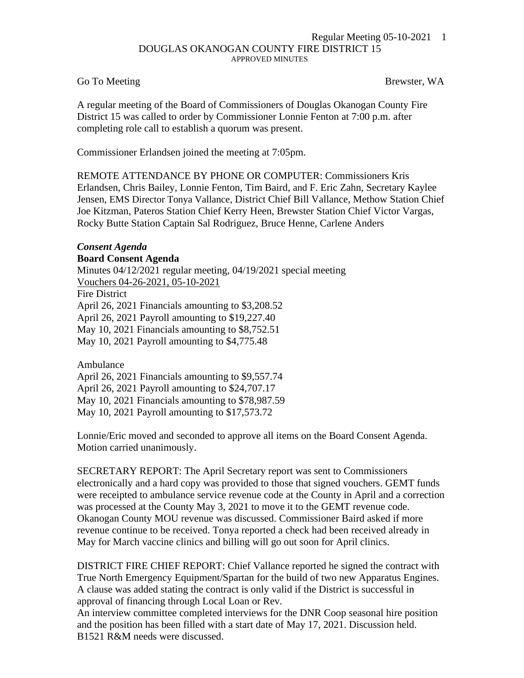## Regular Meeting 05-10-2021 1 DOUGLAS OKANOGAN COUNTY FIRE DISTRICT 15 APPROVED MINUTES

## Go To Meeting Brewster, WA

A regular meeting of the Board of Commissioners of Douglas Okanogan County Fire District 15 was called to order by Commissioner Lonnie Fenton at 7:00 p.m. after completing role call to establish a quorum was present.

Commissioner Erlandsen joined the meeting at 7:05pm.

REMOTE ATTENDANCE BY PHONE OR COMPUTER: Commissioners Kris Erlandsen, Chris Bailey, Lonnie Fenton, Tim Baird, and F. Eric Zahn, Secretary Kaylee Jensen, EMS Director Tonya Vallance, District Chief Bill Vallance, Methow Station Chief Joe Kitzman, Pateros Station Chief Kerry Heen, Brewster Station Chief Victor Vargas, Rocky Butte Station Captain Sal Rodriguez, Bruce Henne, Carlene Anders

## *Consent Agenda* **Board Consent Agenda**

Minutes 04/12/2021 regular meeting, 04/19/2021 special meeting Vouchers 04-26-2021, 05-10-2021 Fire District April 26, 2021 Financials amounting to \$3,208.52 April 26, 2021 Payroll amounting to \$19,227.40 May 10, 2021 Financials amounting to \$8,752.51 May 10, 2021 Payroll amounting to \$4,775.48

Ambulance

April 26, 2021 Financials amounting to \$9,557.74 April 26, 2021 Payroll amounting to \$24,707.17

May 10, 2021 Financials amounting to \$78,987.59

May 10, 2021 Payroll amounting to \$17,573.72

Lonnie/Eric moved and seconded to approve all items on the Board Consent Agenda. Motion carried unanimously.

SECRETARY REPORT: The April Secretary report was sent to Commissioners electronically and a hard copy was provided to those that signed vouchers. GEMT funds were receipted to ambulance service revenue code at the County in April and a correction was processed at the County May 3, 2021 to move it to the GEMT revenue code. Okanogan County MOU revenue was discussed. Commissioner Baird asked if more revenue continue to be received. Tonya reported a check had been received already in May for March vaccine clinics and billing will go out soon for April clinics.

DISTRICT FIRE CHIEF REPORT: Chief Vallance reported he signed the contract with True North Emergency Equipment/Spartan for the build of two new Apparatus Engines. A clause was added stating the contract is only valid if the District is successful in approval of financing through Local Loan or Rev.

An interview committee completed interviews for the DNR Coop seasonal hire position and the position has been filled with a start date of May 17, 2021. Discussion held. B1521 R&M needs were discussed.